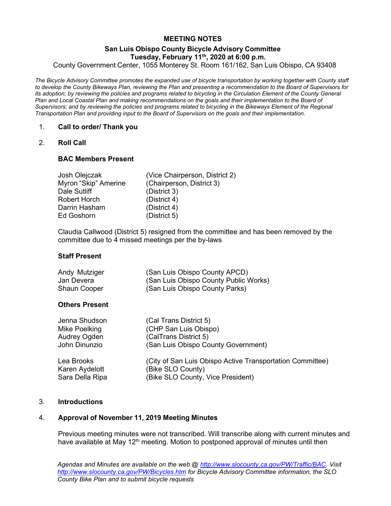# MEETING NOTES

### San Luis Obispo County Bicycle Advisory Committee Tuesday, February  $11^{th}$ , 2020 at 6:00 p.m.

County Government Center, 1055 Monterey St. Room 161/162, San Luis Obispo, CA 93408

The Bicycle Advisory Committee promotes the expanded use of bicycle transportation by working together with County staff to develop the County Bikeways Plan, reviewing the Plan and presenting a recommendation to the Board of Supervisors for its adoption; by reviewing the policies and programs related to bicycling in the Circulation Element of the County General Plan and Local Coastal Plan and making recommendations on the goals and their implementation to the Board of Supervisors; and by reviewing the policies and programs related to bicycling in the Bikeways Element of the Regional Transportation Plan and providing input to the Board of Supervisors on the goals and their implementation.

### 1. Call to order/ Thank you

### 2. Roll Call

### BAC Members Present

| Josh Olejczak        | (Vice Chairperson, District 2) |
|----------------------|--------------------------------|
| Myron "Skip" Amerine | (Chairperson, District 3)      |
| Dale Sutliff         | (District 3)                   |
| <b>Robert Horch</b>  | (District 4)                   |
| Darrin Hasham        | (District 4)                   |
| <b>Ed Goshorn</b>    | (District 5)                   |

 Claudia Callwood (District 5) resigned from the committee and has been removed by the committee due to 4 missed meetings per the by-laws

### Staff Present

| Andy Mutziger       | (San Luis Obispo County APCD)         |
|---------------------|---------------------------------------|
| Jan Devera          | (San Luis Obispo County Public Works) |
| <b>Shaun Cooper</b> | (San Luis Obispo County Parks)        |

### Others Present

| Jenna Shudson<br>Mike Poelking<br>Audrey Ogden<br>John Dinunzio | (Cal Trans District 5)<br>(CHP San Luis Obispo)<br>(CalTrans District 5)<br>(San Luis Obispo County Government)     |
|-----------------------------------------------------------------|---------------------------------------------------------------------------------------------------------------------|
| Lea Brooks<br>Karen Aydelott<br>Sara Della Ripa                 | (City of San Luis Obispo Active Transportation Committee)<br>(Bike SLO County)<br>(Bike SLO County, Vice President) |

### 3. Introductions

## 4. Approval of November 11, 2019 Meeting Minutes

Previous meeting minutes were not transcribed. Will transcribe along with current minutes and have available at May 12<sup>th</sup> meeting. Motion to postponed approval of minutes until then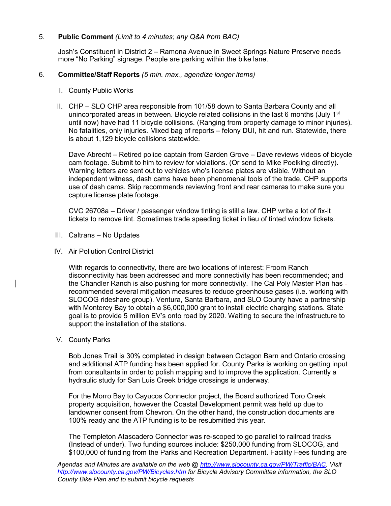### 5. Public Comment (Limit to 4 minutes; any Q&A from BAC)

Josh's Constituent in District 2 – Ramona Avenue in Sweet Springs Nature Preserve needs more "No Parking" signage. People are parking within the bike lane.

#### 6. Committee/Staff Reports (5 min. max., agendize longer items)

- I. County Public Works
- II. CHP SLO CHP area responsible from 101/58 down to Santa Barbara County and all unincorporated areas in between. Bicycle related collisions in the last 6 months (July 1<sup>st</sup> until now) have had 11 bicycle collisions. (Ranging from property damage to minor injuries). No fatalities, only injuries. Mixed bag of reports – felony DUI, hit and run. Statewide, there is about 1,129 bicycle collisions statewide.

Dave Abrecht – Retired police captain from Garden Grove – Dave reviews videos of bicycle cam footage. Submit to him to review for violations. (Or send to Mike Poelking directly). Warning letters are sent out to vehicles who's license plates are visible. Without an independent witness, dash cams have been phenomenal tools of the trade. CHP supports use of dash cams. Skip recommends reviewing front and rear cameras to make sure you capture license plate footage.

CVC 26708a – Driver / passenger window tinting is still a law. CHP write a lot of fix-it tickets to remove tint. Sometimes trade speeding ticket in lieu of tinted window tickets.

- III. Caltrans No Updates
- IV. Air Pollution Control District

With regards to connectivity, there are two locations of interest: Froom Ranch disconnectivity has been addressed and more connectivity has been recommended; and the Chandler Ranch is also pushing for more connectivity. The Cal Poly Master Plan has recommended several mitigation measures to reduce greenhouse gases (i.e. working with SLOCOG rideshare group). Ventura, Santa Barbara, and SLO County have a partnership with Monterey Bay to obtain a \$6,000,000 grant to install electric charging stations. State goal is to provide 5 million EV's onto road by 2020. Waiting to secure the infrastructure to support the installation of the stations.

V. County Parks

Bob Jones Trail is 30% completed in design between Octagon Barn and Ontario crossing and additional ATP funding has been applied for. County Parks is working on getting input from consultants in order to polish mapping and to improve the application. Currently a hydraulic study for San Luis Creek bridge crossings is underway.

For the Morro Bay to Cayucos Connector project, the Board authorized Toro Creek property acquisition, however the Coastal Development permit was held up due to landowner consent from Chevron. On the other hand, the construction documents are 100% ready and the ATP funding is to be resubmitted this year.

The Templeton Atascadero Connector was re-scoped to go parallel to railroad tracks (Instead of under). Two funding sources include: \$250,000 funding from SLOCOG, and \$100,000 of funding from the Parks and Recreation Department. Facility Fees funding are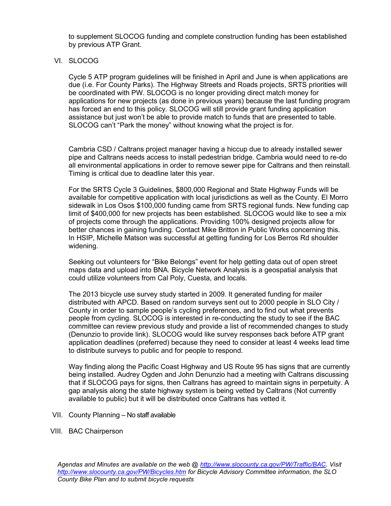to supplement SLOCOG funding and complete construction funding has been established by previous ATP Grant.

## VI. SLOCOG

Cycle 5 ATP program guidelines will be finished in April and June is when applications are due (i.e. For County Parks). The Highway Streets and Roads projects, SRTS priorities will be coordinated with PW. SLOCOG is no longer providing direct match money for applications for new projects (as done in previous years) because the last funding program has forced an end to this policy. SLOCOG will still provide grant funding application assistance but just won't be able to provide match to funds that are presented to table. SLOCOG can't "Park the money" without knowing what the project is for.

Cambria CSD / Caltrans project manager having a hiccup due to already installed sewer pipe and Caltrans needs access to install pedestrian bridge. Cambria would need to re-do all environmental applications in order to remove sewer pipe for Caltrans and then reinstall. Timing is critical due to deadline later this year.

For the SRTS Cycle 3 Guidelines, \$800,000 Regional and State Highway Funds will be available for competitive application with local jurisdictions as well as the County. El Morro sidewalk in Los Osos \$100,000 funding came from SRTS regional funds. New funding cap limit of \$400,000 for new projects has been established. SLOCOG would like to see a mix of projects come through the applications. Providing 100% designed projects allow for better chances in gaining funding. Contact Mike Britton in Public Works concerning this. In HSIP, Michelle Matson was successful at getting funding for Los Berros Rd shoulder widening.

Seeking out volunteers for "Bike Belongs" event for help getting data out of open street maps data and upload into BNA. Bicycle Network Analysis is a geospatial analysis that could utilize volunteers from Cal Poly, Cuesta, and locals.

The 2013 bicycle use survey study started in 2009. It generated funding for mailer distributed with APCD. Based on random surveys sent out to 2000 people in SLO City / County in order to sample people's cycling preferences, and to find out what prevents people from cycling. SLOCOG is interested in re-conducting the study to see if the BAC committee can review previous study and provide a list of recommended changes to study (Denunzio to provide link). SLOCOG would like survey responses back before ATP grant application deadlines (preferred) because they need to consider at least 4 weeks lead time to distribute surveys to public and for people to respond.

Way finding along the Pacific Coast Highway and US Route 95 has signs that are currently being installed. Audrey Ogden and John Denunzio had a meeting with Caltrans discussing that if SLOCOG pays for signs, then Caltrans has agreed to maintain signs in perpetuity. A gap analysis along the state highway system is being vetted by Caltrans (Not currently available to public) but it will be distributed once Caltrans has vetted it.

- VII. County Planning No staff available
- VIII. BAC Chairperson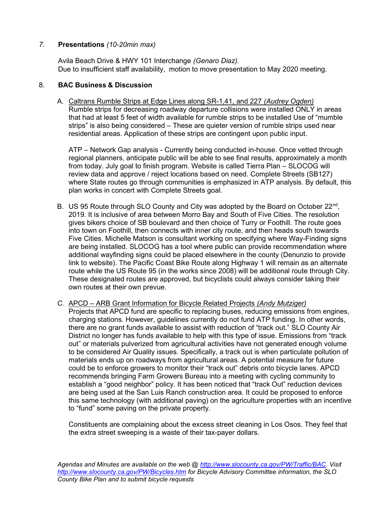## 7. Presentations (10-20min max)

 Avila Beach Drive & HWY 101 Interchange (Genaro Diaz). Due to insufficient staff availability, motion to move presentation to May 2020 meeting.

## 8. BAC Business & Discussion

A. Caltrans Rumble Strips at Edge Lines along SR-1,41, and 227 (Audrey Ogden) Rumble strips for decreasing roadway departure collisions were installed ONLY in areas that had at least 5 feet of width available for rumble strips to be installed Use of "mumble strips" is also being considered – These are quieter version of rumble strips used near residential areas. Application of these strips are contingent upon public input.

ATP – Network Gap analysis - Currently being conducted in-house. Once vetted through regional planners, anticipate public will be able to see final results, approximately a month from today. July goal to finish program. Website is called Tierra Plan – SLOCOG will review data and approve / reject locations based on need. Complete Streets (SB127) where State routes go through communities is emphasized in ATP analysis. By default, this plan works in concert with Complete Streets goal.

- B. US 95 Route through SLO County and City was adopted by the Board on October 22<sup>nd</sup>, 2019. It is inclusive of area between Morro Bay and South of Five Cities. The resolution gives bikers choice of SB boulevard and then choice of Turry or Foothill. The route goes into town on Foothill, then connects with inner city route, and then heads south towards Five Cities. Michelle Matson is consultant working on specifying where Way-Finding signs are being installed. SLOCOG has a tool where public can provide recommendation where additional wayfinding signs could be placed elsewhere in the county (Denunzio to provide link to website). The Pacific Coast Bike Route along Highway 1 will remain as an alternate route while the US Route 95 (in the works since 2008) will be additional route through City. These designated routes are approved, but bicyclists could always consider taking their own routes at their own prevue.
- C. APCD ARB Grant Information for Bicycle Related Projects (Andy Mutziger) Projects that APCD fund are specific to replacing buses, reducing emissions from engines, charging stations. However, guidelines currently do not fund ATP funding. In other words, there are no grant funds available to assist with reduction of "track out." SLO County Air District no longer has funds available to help with this type of issue. Emissions from "track out" or materials pulverized from agricultural activities have not generated enough volume to be considered Air Quality issues. Specifically, a track out is when particulate pollution of materials ends up on roadways from agricultural areas. A potential measure for future could be to enforce growers to monitor their "track out" debris onto bicycle lanes. APCD recommends bringing Farm Growers Bureau into a meeting with cycling community to establish a "good neighbor" policy. It has been noticed that "track Out" reduction devices are being used at the San Luis Ranch construction area. It could be proposed to enforce this same technology (with additional paving) on the agriculture properties with an incentive to "fund" some paving on the private property.

Constituents are complaining about the excess street cleaning in Los Osos. They feel that the extra street sweeping is a waste of their tax-payer dollars.